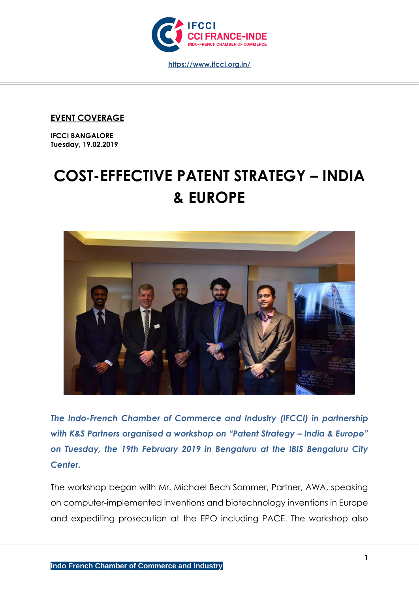

**EVENT COVERAGE**

**IFCCI BANGALORE Tuesday, 19.02.2019**

## **COST-EFFECTIVE PATENT STRATEGY – INDIA & EUROPE**



*The Indo-French Chamber of Commerce and Industry (IFCCI) in partnership with K&S Partners organised a workshop on "Patent Strategy – India & Europe" on Tuesday, the 19th February 2019 in Bengaluru at the IBIS Bengaluru City Center.* 

The workshop began with Mr. Michael Bech Sommer, Partner, AWA, speaking on computer-implemented inventions and biotechnology inventions in Europe and expediting prosecution at the EPO including PACE. The workshop also